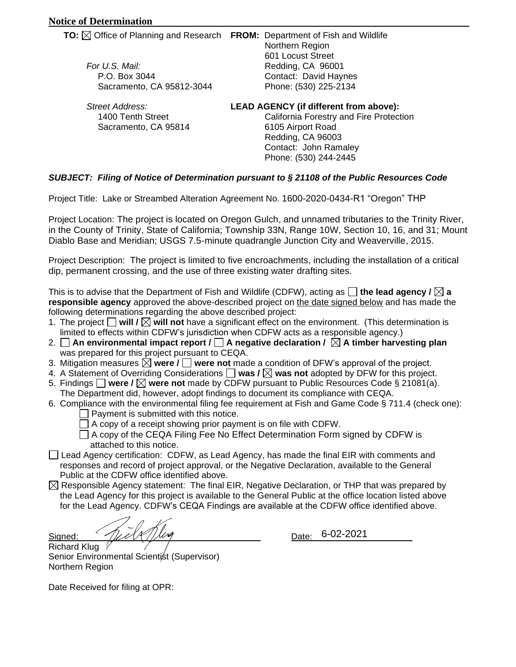|                                 | <b>TO:</b> $\boxtimes$ Office of Planning and Research FROM: Department of Fish and Wildlife<br>Northern Region |
|---------------------------------|-----------------------------------------------------------------------------------------------------------------|
| For U.S. Mail:<br>P.O. Box 3044 | 601 Locust Street<br>Redding, CA 96001<br>Contact: David Haynes                                                 |
| Sacramento, CA 95812-3044       | Phone: (530) 225-2134                                                                                           |
| Street Address:                 | <b>LEAD AGENCY (if different from above):</b>                                                                   |
| 1400 Tenth Street               | California Forestry and Fire Protection                                                                         |
| Sacramento, CA 95814            | 6105 Airport Road                                                                                               |

## Phone: (530) 244-2445 *SUBJECT: Filing of Notice of Determination pursuant to § 21108 of the Public Resources Code*

Project Title: Lake or Streambed Alteration Agreement No. 1600-2020-0434-R1 "Oregon" THP

Project Location: The project is located on Oregon Gulch, and unnamed tributaries to the Trinity River, in the County of Trinity, State of California; Township 33N, Range 10W, Section 10, 16, and 31; Mount Diablo Base and Meridian; USGS 7.5-minute quadrangle Junction City and Weaverville, 2015.

Redding, CA 96003 Contact: John Ramaley

Project Description: The project is limited to five encroachments, including the installation of a critical dip, permanent crossing, and the use of three existing water drafting sites.

This is to advise that the Department of Fish and Wildlife (CDFW), acting as  $\Box$  the lead agency  $\ell \boxtimes a$ **responsible agency** approved the above-described project on the date signed below and has made the following determinations regarding the above described project:

- 1. The project  $\Box$  will  $\Box$  will not have a significant effect on the environment. (This determination is limited to effects within CDFW's jurisdiction when CDFW acts as a responsible agency.)
- 2.  $\Box$  An environmental impact report /  $\Box$  A negative declaration /  $\boxtimes$  A timber harvesting plan was prepared for this project pursuant to CEQA.
- 3. Mitigation measures  $\boxtimes$  were  $\prime \square$  were not made a condition of DFW's approval of the project.
- 4. A Statement of Overriding Considerations  $\Box$  was /  $\boxtimes$  was not adopted by DFW for this project.
- 5. Findings **were / were not** made by CDFW pursuant to Public Resources Code § 21081(a). The Department did, however, adopt findings to document its compliance with CEQA.
- 6. Compliance with the environmental filing fee requirement at Fish and Game Code § 711.4 (check one):
	- $\Box$  Payment is submitted with this notice.
	- $\Box$  A copy of a receipt showing prior payment is on file with CDFW.

 $\Box$  A copy of the CEQA Filing Fee No Effect Determination Form signed by CDFW is attached to this notice.

- $\Box$  Lead Agency certification: CDFW, as Lead Agency, has made the final EIR with comments and responses and record of project approval, or the Negative Declaration, available to the General Public at the CDFW office identified above.
- $\boxtimes$  Responsible Agency statement: The final EIR, Negative Declaration, or THP that was prepared by the Lead Agency for this project is available to the General Public at the office location listed above for the Lead Agency. CDFW's CEQA Findings are available at the CDFW office identified above.

 $Signed:$   $\frac{1}{2}$   $\frac{1}{2}$   $\frac{1}{2}$   $\frac{1}{2}$   $\frac{1}{2}$   $\frac{1}{2}$   $\frac{1}{2}$   $\frac{1}{2}$   $\frac{1}{2}$   $\frac{1}{2}$   $\frac{1}{2}$   $\frac{1}{2}$   $\frac{1}{2}$   $\frac{1}{2}$   $\frac{1}{2}$   $\frac{1}{2}$   $\frac{1}{2}$   $\frac{1}{2}$   $\frac{1}{2}$   $\frac{1}{2}$   $\frac{1}{2}$   $\frac{1$ 

Date: 6-02-2021

Richard Klug Senior Environmental Scientist (Supervisor) Northern Region

Date Received for filing at OPR: